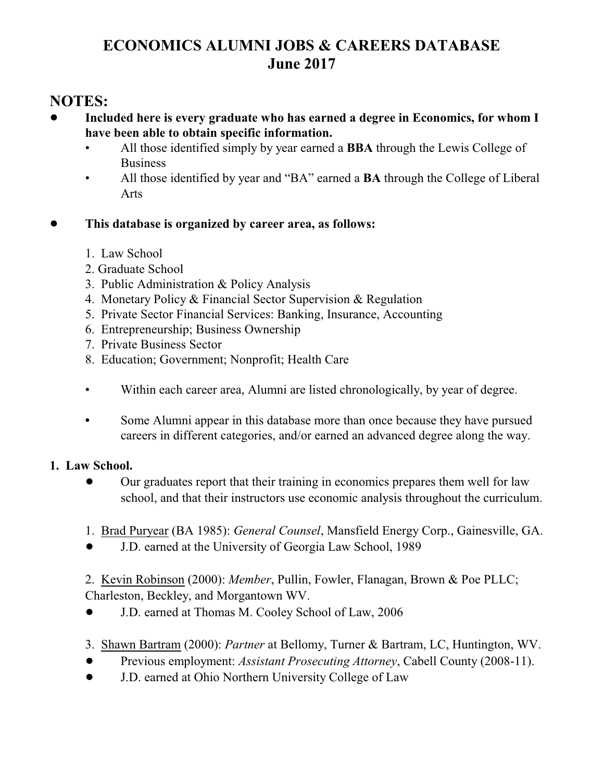# **ECONOMICS ALUMNI JOBS & CAREERS DATABASE June 2017**

# **NOTES:**

- ! **Included here is every graduate who has earned a degree in Economics, for whom I have been able to obtain specific information.**
	- All those identified simply by year earned a **BBA** through the Lewis College of Business
	- All those identified by year and "BA" earned a **BA** through the College of Liberal Arts
- ! **This database is organized by career area, as follows:**
	- 1. Law School
	- 2. Graduate School
	- 3. Public Administration & Policy Analysis
	- 4. Monetary Policy & Financial Sector Supervision & Regulation
	- 5. Private Sector Financial Services: Banking, Insurance, Accounting
	- 6. Entrepreneurship; Business Ownership
	- 7. Private Business Sector
	- 8. Education; Government; Nonprofit; Health Care
	- Within each career area, Alumni are listed chronologically, by year of degree.
	- Some Alumni appear in this database more than once because they have pursued careers in different categories, and/or earned an advanced degree along the way.

#### **1. Law School.**

- ! Our graduates report that their training in economics prepares them well for law school, and that their instructors use economic analysis throughout the curriculum.
- 1. Brad Puryear (BA 1985): *General Counsel*, Mansfield Energy Corp., Gainesville, GA.
- ! J.D. earned at the University of Georgia Law School, 1989

2. Kevin Robinson (2000): *Member*, Pullin, Fowler, Flanagan, Brown & Poe PLLC; Charleston, Beckley, and Morgantown WV.

- ! J.D. earned at Thomas M. Cooley School of Law, 2006
- 3. Shawn Bartram (2000): *Partner* at Bellomy, Turner & Bartram, LC, Huntington, WV.
- ! Previous employment: *Assistant Prosecuting Attorney*, Cabell County (2008-11).
- ! J.D. earned at Ohio Northern University College of Law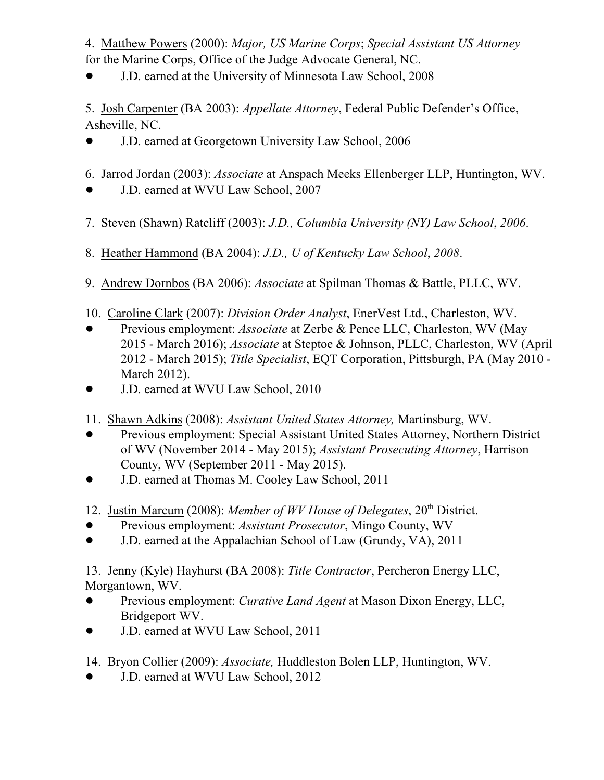4. Matthew Powers (2000): *Major, US Marine Corps*; *Special Assistant US Attorney* for the Marine Corps, Office of the Judge Advocate General, NC.

! J.D. earned at the University of Minnesota Law School, 2008

5. Josh Carpenter (BA 2003): *Appellate Attorney*, Federal Public Defender's Office, Asheville, NC.

- ! J.D. earned at Georgetown University Law School, 2006
- 6. Jarrod Jordan (2003): *Associate* at Anspach Meeks Ellenberger LLP, Huntington, WV.
- ! J.D. earned at WVU Law School, 2007
- 7. Steven (Shawn) Ratcliff (2003): *J.D., Columbia University (NY) Law School*, *2006*.
- 8. Heather Hammond (BA 2004): *J.D., U of Kentucky Law School*, *2008*.
- 9. Andrew Dornbos (BA 2006): *Associate* at Spilman Thomas & Battle, PLLC, WV.
- 10. Caroline Clark (2007): *Division Order Analyst*, EnerVest Ltd., Charleston, WV.
- ! Previous employment: *Associate* at Zerbe & Pence LLC, Charleston, WV (May 2015 - March 2016); *Associate* at Steptoe & Johnson, PLLC, Charleston, WV (April 2012 - March 2015); *Title Specialist*, EQT Corporation, Pittsburgh, PA (May 2010 - March 2012).
- ! J.D. earned at WVU Law School, 2010
- 11. Shawn Adkins (2008): *Assistant United States Attorney,* Martinsburg, WV.
- Previous employment: Special Assistant United States Attorney, Northern District of WV (November 2014 - May 2015); *Assistant Prosecuting Attorney*, Harrison County, WV (September 2011 - May 2015).
- ! J.D. earned at Thomas M. Cooley Law School, 2011
- 12. Justin Marcum (2008): Member of WV House of Delegates, 20<sup>th</sup> District.
- ! Previous employment: *Assistant Prosecutor*, Mingo County, WV
- ! J.D. earned at the Appalachian School of Law (Grundy, VA), 2011

13. Jenny (Kyle) Hayhurst (BA 2008): *Title Contractor*, Percheron Energy LLC, Morgantown, WV.

- ! Previous employment: *Curative Land Agent* at Mason Dixon Energy, LLC, Bridgeport WV.
- ! J.D. earned at WVU Law School, 2011
- 14. Bryon Collier (2009): *Associate,* Huddleston Bolen LLP, Huntington, WV.
- ! J.D. earned at WVU Law School, 2012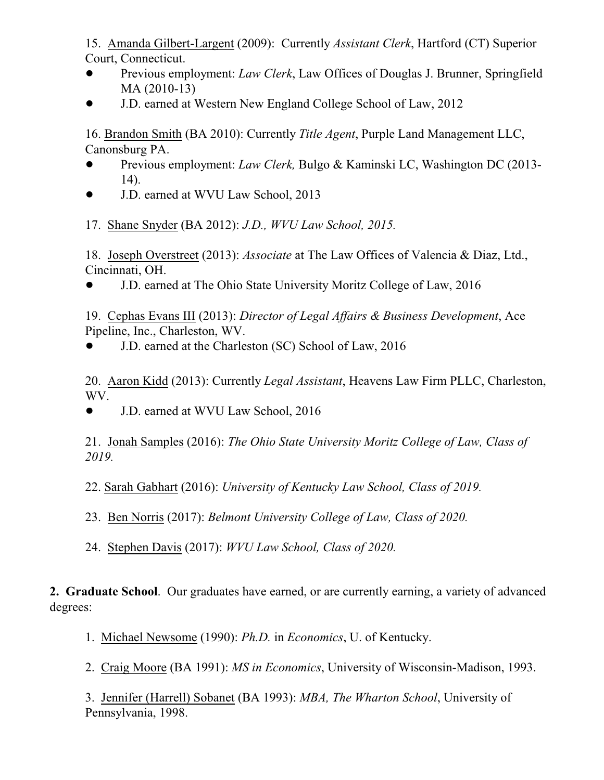15. Amanda Gilbert-Largent (2009):Currently *Assistant Clerk*, Hartford (CT) Superior Court, Connecticut.

- ! Previous employment: *Law Clerk*, Law Offices of Douglas J. Brunner, Springfield MA (2010-13)
- ! J.D. earned at Western New England College School of Law, 2012

16. Brandon Smith (BA 2010): Currently *Title Agent*, Purple Land Management LLC, Canonsburg PA.

- ! Previous employment: *Law Clerk,* Bulgo & Kaminski LC, Washington DC (2013- 14).
- ! J.D. earned at WVU Law School, 2013
- 17. Shane Snyder (BA 2012): *J.D., WVU Law School, 2015.*

18. Joseph Overstreet (2013): *Associate* at The Law Offices of Valencia & Diaz, Ltd., Cincinnati, OH.

! J.D. earned at The Ohio State University Moritz College of Law, 2016

19. Cephas Evans III (2013): *Director of Legal Affairs & Business Development*, Ace Pipeline, Inc., Charleston, WV.

! J.D. earned at the Charleston (SC) School of Law, 2016

20. Aaron Kidd (2013): Currently *Legal Assistant*, Heavens Law Firm PLLC, Charleston, WV.

• J.D. earned at WVU Law School, 2016

21. Jonah Samples (2016): *The Ohio State University Moritz College of Law, Class of 2019.*

22. Sarah Gabhart (2016): *University of Kentucky Law School, Class of 2019.*

- 23. Ben Norris (2017): *Belmont University College of Law, Class of 2020.*
- 24. Stephen Davis (2017): *WVU Law School, Class of 2020.*

**2. Graduate School**. Our graduates have earned, or are currently earning, a variety of advanced degrees:

- 1. Michael Newsome (1990): *Ph.D.* in *Economics*, U. of Kentucky.
- 2. Craig Moore (BA 1991): *MS in Economics*, University of Wisconsin-Madison, 1993.

3. Jennifer (Harrell) Sobanet (BA 1993): *MBA, The Wharton School*, University of Pennsylvania, 1998.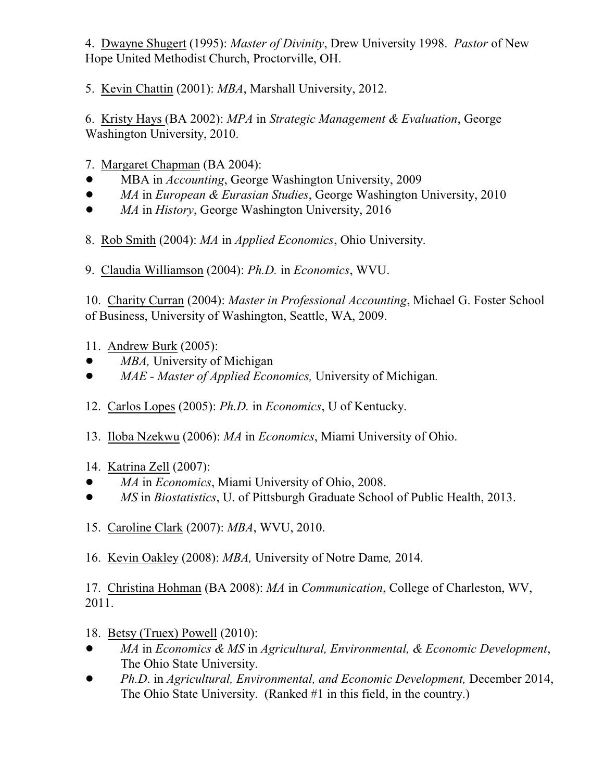4. Dwayne Shugert (1995): *Master of Divinity*, Drew University 1998. *Pastor* of New Hope United Methodist Church, Proctorville, OH.

5. Kevin Chattin (2001): *MBA*, Marshall University, 2012.

6. Kristy Hays (BA 2002): *MPA* in *Strategic Management & Evaluation*, George Washington University, 2010.

- 7. Margaret Chapman (BA 2004):
- ! MBA in *Accounting*, George Washington University, 2009
- ! *MA* in *European & Eurasian Studies*, George Washington University, 2010
- *MA* in *History*, George Washington University, 2016
- 8. Rob Smith (2004): *MA* in *Applied Economics*, Ohio University.
- 9. Claudia Williamson (2004): *Ph.D.* in *Economics*, WVU.

10. Charity Curran (2004): *Master in Professional Accounting*, Michael G. Foster School of Business, University of Washington, Seattle, WA, 2009.

- 11. Andrew Burk (2005):
- ! *MBA,* University of Michigan
- ! *MAE Master of Applied Economics,* University of Michigan*.*
- 12. Carlos Lopes (2005): *Ph.D.* in *Economics*, U of Kentucky.
- 13. Iloba Nzekwu (2006): *MA* in *Economics*, Miami University of Ohio.
- 14. Katrina Zell (2007):
- ! *MA* in *Economics*, Miami University of Ohio, 2008.
- ! *MS* in *Biostatistics*, U. of Pittsburgh Graduate School of Public Health, 2013.
- 15. Caroline Clark (2007): *MBA*, WVU, 2010.
- 16. Kevin Oakley (2008): *MBA,* University of Notre Dame*,* 2014*.*

17. Christina Hohman (BA 2008): *MA* in *Communication*, College of Charleston, WV, 2011.

- 18. Betsy (Truex) Powell (2010):
- ! *MA* in *Economics & MS* in *Agricultural, Environmental, & Economic Development*, The Ohio State University.
- ! *Ph.D*. in *Agricultural, Environmental, and Economic Development,* December 2014, The Ohio State University. (Ranked #1 in this field, in the country.)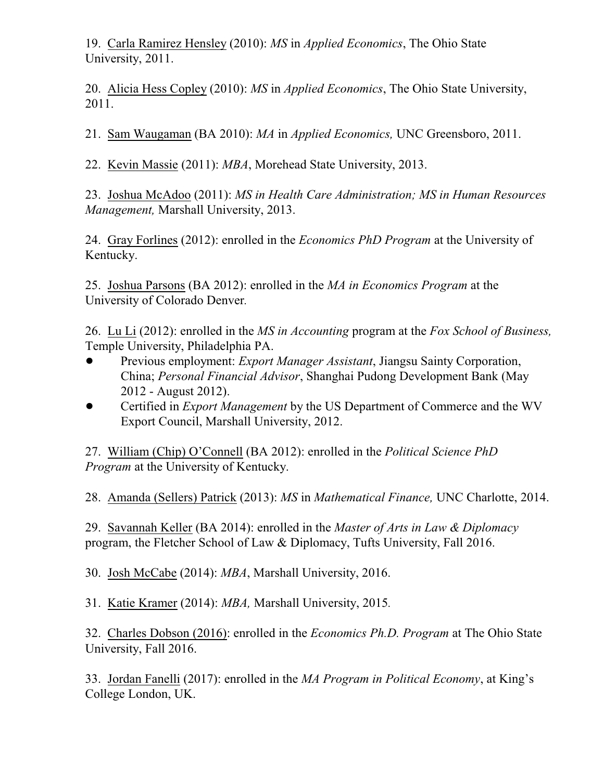19. Carla Ramirez Hensley (2010): *MS* in *Applied Economics*, The Ohio State University, 2011.

20. Alicia Hess Copley (2010): *MS* in *Applied Economics*, The Ohio State University, 2011.

21. Sam Waugaman (BA 2010): *MA* in *Applied Economics,* UNC Greensboro, 2011.

22. Kevin Massie (2011): *MBA*, Morehead State University, 2013.

23. Joshua McAdoo (2011): *MS in Health Care Administration; MS in Human Resources Management,* Marshall University, 2013.

24. Gray Forlines (2012): enrolled in the *Economics PhD Program* at the University of Kentucky.

25. Joshua Parsons (BA 2012): enrolled in the *MA in Economics Program* at the University of Colorado Denver*.*

26. Lu Li (2012): enrolled in the *MS in Accounting* program at the *Fox School of Business,* Temple University, Philadelphia PA.

- ! Previous employment: *Export Manager Assistant*, Jiangsu Sainty Corporation, China; *Personal Financial Advisor*, Shanghai Pudong Development Bank (May 2012 - August 2012).
- ! Certified in *Export Management* by the US Department of Commerce and the WV Export Council, Marshall University, 2012.

27. William (Chip) O'Connell (BA 2012): enrolled in the *Political Science PhD Program* at the University of Kentucky.

28. Amanda (Sellers) Patrick (2013): *MS* in *Mathematical Finance,* UNC Charlotte, 2014.

29. Savannah Keller (BA 2014): enrolled in the *Master of Arts in Law & Diplomacy* program, the Fletcher School of Law & Diplomacy, Tufts University, Fall 2016.

30. Josh McCabe (2014): *MBA*, Marshall University, 2016.

31. Katie Kramer (2014): *MBA,* Marshall University, 2015*.*

32. Charles Dobson (2016): enrolled in the *Economics Ph.D. Program* at The Ohio State University, Fall 2016.

33. Jordan Fanelli (2017): enrolled in the *MA Program in Political Economy*, at King's College London, UK.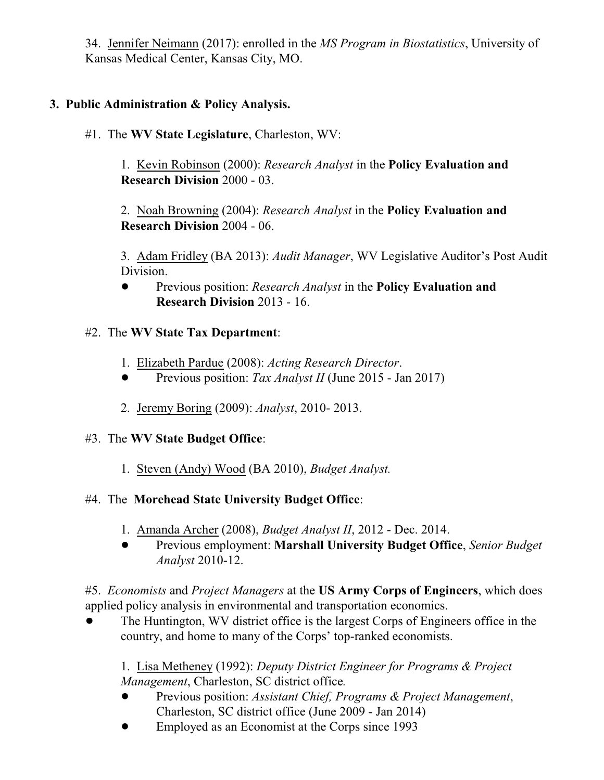34. Jennifer Neimann (2017): enrolled in the *MS Program in Biostatistics*, University of Kansas Medical Center, Kansas City, MO.

### **3. Public Administration & Policy Analysis.**

#1. The **WV State Legislature**, Charleston, WV:

1. Kevin Robinson (2000): *Research Analyst* in the **Policy Evaluation and Research Division** 2000 - 03.

2. Noah Browning (2004): *Research Analyst* in the **Policy Evaluation and Research Division** 2004 - 06.

3. Adam Fridley (BA 2013): *Audit Manager*, WV Legislative Auditor's Post Audit Division.

! Previous position: *Research Analyst* in the **Policy Evaluation and Research Division** 2013 - 16.

#### #2. The **WV State Tax Department**:

- 1. Elizabeth Pardue (2008): *Acting Research Director*.
- Previous position: *Tax Analyst II* (June 2015 Jan 2017)
- 2. Jeremy Boring (2009): *Analyst*, 2010- 2013.

#### #3. The **WV State Budget Office**:

1. Steven (Andy) Wood (BA 2010), *Budget Analyst.*

#### #4. The **Morehead State University Budget Office**:

- 1. Amanda Archer (2008), *Budget Analyst II*, 2012 Dec. 2014.
- ! Previous employment: **Marshall University Budget Office**, *Senior Budget Analyst* 2010-12.

#5. *Economists* and *Project Managers* at the **US Army Corps of Engineers**, which does applied policy analysis in environmental and transportation economics.

! The Huntington, WV district office is the largest Corps of Engineers office in the country, and home to many of the Corps' top-ranked economists.

1. Lisa Metheney (1992): *Deputy District Engineer for Programs & Project Management*, Charleston, SC district office*.*

- ! Previous position: *Assistant Chief, Programs & Project Management*, Charleston, SC district office (June 2009 - Jan 2014)
- Employed as an Economist at the Corps since 1993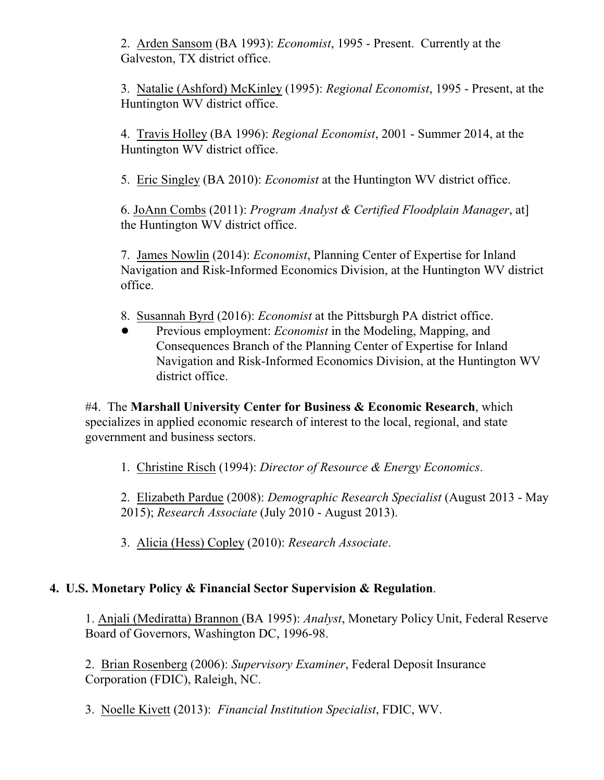2. Arden Sansom (BA 1993): *Economist*, 1995 - Present. Currently at the Galveston, TX district office.

3. Natalie (Ashford) McKinley (1995): *Regional Economist*, 1995 - Present, at the Huntington WV district office.

4. Travis Holley (BA 1996): *Regional Economist*, 2001 - Summer 2014, at the Huntington WV district office.

5. Eric Singley (BA 2010): *Economist* at the Huntington WV district office.

6. JoAnn Combs (2011): *Program Analyst & Certified Floodplain Manager*, at] the Huntington WV district office.

7. James Nowlin (2014): *Economist*, Planning Center of Expertise for Inland Navigation and Risk-Informed Economics Division, at the Huntington WV district office.

- 8. Susannah Byrd (2016): *Economist* at the Pittsburgh PA district office.
- ! Previous employment: *Economist* in the Modeling, Mapping, and Consequences Branch of the Planning Center of Expertise for Inland Navigation and Risk-Informed Economics Division, at the Huntington WV district office.

#4. The **Marshall University Center for Business & Economic Research**, which specializes in applied economic research of interest to the local, regional, and state government and business sectors.

1. Christine Risch (1994): *Director of Resource & Energy Economics*.

2. Elizabeth Pardue (2008): *Demographic Research Specialist* (August 2013 - May 2015); *Research Associate* (July 2010 - August 2013).

3. Alicia (Hess) Copley (2010): *Research Associate*.

#### **4. U.S. Monetary Policy & Financial Sector Supervision & Regulation**.

1. Anjali (Mediratta) Brannon (BA 1995): *Analyst*, Monetary Policy Unit, Federal Reserve Board of Governors, Washington DC, 1996-98.

2. Brian Rosenberg (2006): *Supervisory Examiner*, Federal Deposit Insurance Corporation (FDIC), Raleigh, NC.

3. Noelle Kivett (2013): *Financial Institution Specialist*, FDIC, WV.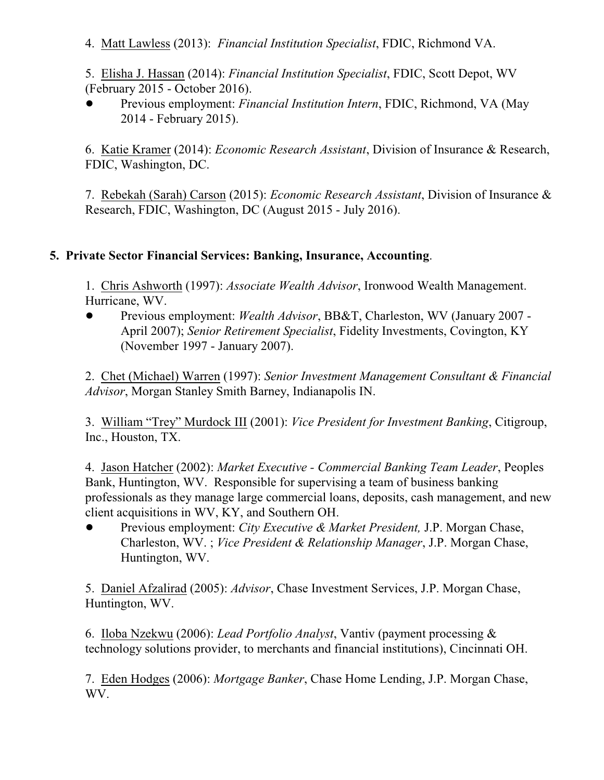4. Matt Lawless (2013): *Financial Institution Specialist*, FDIC, Richmond VA.

5. Elisha J. Hassan (2014): *Financial Institution Specialist*, FDIC, Scott Depot, WV (February 2015 - October 2016).

! Previous employment: *Financial Institution Intern*, FDIC, Richmond, VA (May 2014 - February 2015).

6. Katie Kramer (2014): *Economic Research Assistant*, Division of Insurance & Research, FDIC, Washington, DC.

7. Rebekah (Sarah) Carson (2015): *Economic Research Assistant*, Division of Insurance & Research, FDIC, Washington, DC (August 2015 - July 2016).

## **5. Private Sector Financial Services: Banking, Insurance, Accounting**.

1. Chris Ashworth (1997): *Associate Wealth Advisor*, Ironwood Wealth Management. Hurricane, WV.

! Previous employment: *Wealth Advisor*, BB&T, Charleston, WV (January 2007 - April 2007); *Senior Retirement Specialist*, Fidelity Investments, Covington, KY (November 1997 - January 2007).

2. Chet (Michael) Warren (1997): *Senior Investment Management Consultant & Financial Advisor*, Morgan Stanley Smith Barney, Indianapolis IN.

3. William "Trey" Murdock III (2001): *Vice President for Investment Banking*, Citigroup, Inc., Houston, TX.

4. Jason Hatcher (2002): *Market Executive - Commercial Banking Team Leader*, Peoples Bank, Huntington, WV. Responsible for supervising a team of business banking professionals as they manage large commercial loans, deposits, cash management, and new client acquisitions in WV, KY, and Southern OH.

! Previous employment: *City Executive & Market President,* J.P. Morgan Chase, Charleston, WV. ; *Vice President & Relationship Manager*, J.P. Morgan Chase, Huntington, WV.

5. Daniel Afzalirad (2005): *Advisor*, Chase Investment Services, J.P. Morgan Chase, Huntington, WV.

6. Iloba Nzekwu (2006): *Lead Portfolio Analyst*, Vantiv (payment processing & technology solutions provider, to merchants and financial institutions), Cincinnati OH.

7. Eden Hodges (2006): *Mortgage Banker*, Chase Home Lending, J.P. Morgan Chase, WV.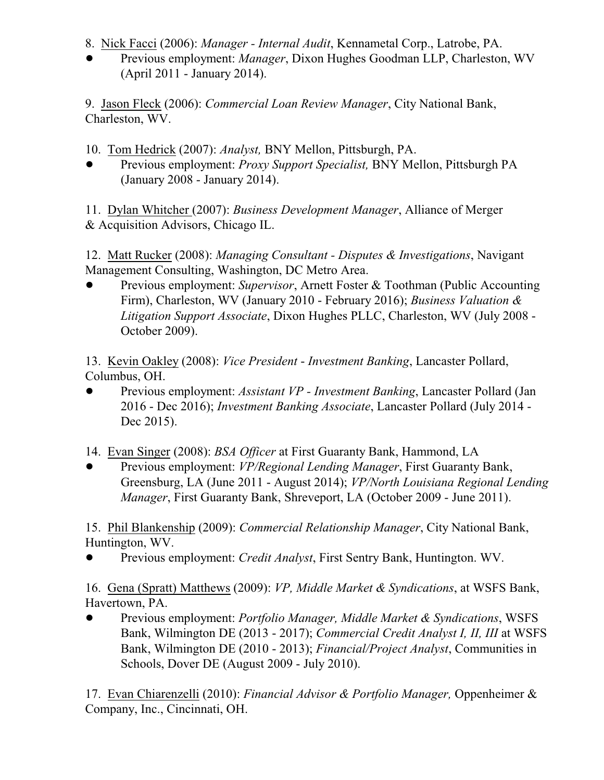- 8. Nick Facci (2006): *Manager Internal Audit*, Kennametal Corp., Latrobe, PA.
- ! Previous employment: *Manager*, Dixon Hughes Goodman LLP, Charleston, WV (April 2011 - January 2014).

9. Jason Fleck (2006): *Commercial Loan Review Manager*, City National Bank, Charleston, WV.

10. Tom Hedrick (2007): *Analyst,* BNY Mellon, Pittsburgh, PA.

! Previous employment: *Proxy Support Specialist,* BNY Mellon, Pittsburgh PA (January 2008 - January 2014).

11. Dylan Whitcher (2007): *Business Development Manager*, Alliance of Merger & Acquisition Advisors, Chicago IL.

12. Matt Rucker (2008): *Managing Consultant - Disputes & Investigations*, Navigant Management Consulting, Washington, DC Metro Area.

! Previous employment: *Supervisor*, Arnett Foster & Toothman (Public Accounting Firm), Charleston, WV (January 2010 - February 2016); *Business Valuation & Litigation Support Associate*, Dixon Hughes PLLC, Charleston, WV (July 2008 - October 2009).

13. Kevin Oakley (2008): *Vice President* - *Investment Banking*, Lancaster Pollard, Columbus, OH.

! Previous employment: *Assistant VP - Investment Banking*, Lancaster Pollard (Jan 2016 - Dec 2016); *Investment Banking Associate*, Lancaster Pollard (July 2014 - Dec 2015).

14. Evan Singer (2008): *BSA Officer* at First Guaranty Bank, Hammond, LA

! Previous employment: *VP/Regional Lending Manager*, First Guaranty Bank, Greensburg, LA (June 2011 - August 2014); *VP/North Louisiana Regional Lending Manager*, First Guaranty Bank, Shreveport, LA (October 2009 - June 2011).

15. Phil Blankenship (2009): *Commercial Relationship Manager*, City National Bank, Huntington, WV.

! Previous employment: *Credit Analyst*, First Sentry Bank, Huntington. WV.

16. Gena (Spratt) Matthews (2009): *VP, Middle Market & Syndications*, at WSFS Bank, Havertown, PA.

! Previous employment: *Portfolio Manager, Middle Market & Syndications*, WSFS Bank, Wilmington DE (2013 - 2017); *Commercial Credit Analyst I, II, III* at WSFS Bank, Wilmington DE (2010 - 2013); *Financial/Project Analyst*, Communities in Schools, Dover DE (August 2009 - July 2010).

17. Evan Chiarenzelli (2010): *Financial Advisor & Portfolio Manager,* Oppenheimer & Company, Inc., Cincinnati, OH.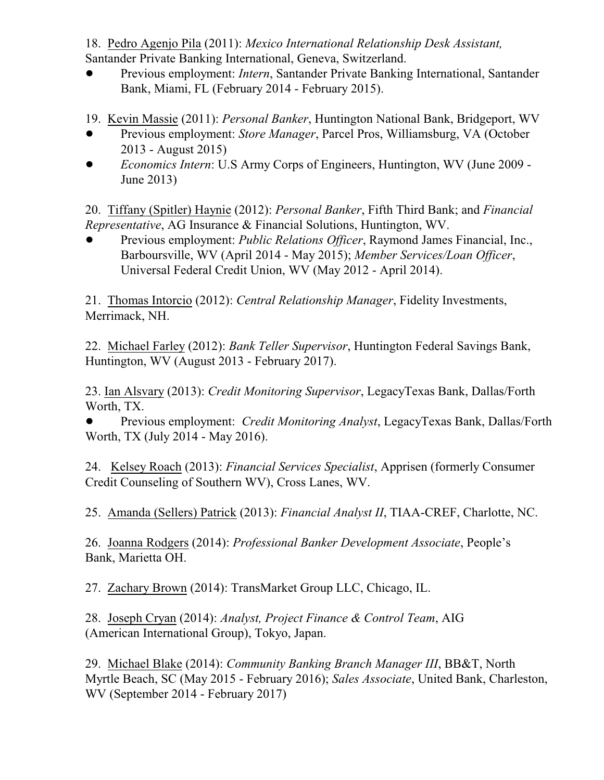18. Pedro Agenjo Pila (2011): *Mexico International Relationship Desk Assistant,* Santander Private Banking International, Geneva, Switzerland.

- ! Previous employment: *Intern*, Santander Private Banking International, Santander Bank, Miami, FL (February 2014 - February 2015).
- 19. Kevin Massie (2011): *Personal Banker*, Huntington National Bank, Bridgeport, WV
- ! Previous employment: *Store Manager*, Parcel Pros, Williamsburg, VA (October 2013 - August 2015)
- ! *Economics Intern*: U.S Army Corps of Engineers, Huntington, WV (June 2009 June 2013)

20. Tiffany (Spitler) Haynie (2012): *Personal Banker*, Fifth Third Bank; and *Financial Representative*, AG Insurance & Financial Solutions, Huntington, WV.

! Previous employment: *Public Relations Officer*, Raymond James Financial, Inc., Barboursville, WV (April 2014 - May 2015); *Member Services/Loan Officer*, Universal Federal Credit Union, WV (May 2012 - April 2014).

21. Thomas Intorcio (2012): *Central Relationship Manager*, Fidelity Investments, Merrimack, NH.

22. Michael Farley (2012): *Bank Teller Supervisor*, Huntington Federal Savings Bank, Huntington, WV (August 2013 - February 2017).

23. Ian Alsvary (2013): *Credit Monitoring Supervisor*, LegacyTexas Bank, Dallas/Forth Worth, TX.

! Previous employment: *Credit Monitoring Analyst*, LegacyTexas Bank, Dallas/Forth Worth, TX (July 2014 - May 2016).

24. Kelsey Roach (2013): *Financial Services Specialist*, Apprisen (formerly Consumer Credit Counseling of Southern WV), Cross Lanes, WV.

25. Amanda (Sellers) Patrick (2013): *Financial Analyst II*, TIAA-CREF, Charlotte, NC.

26. Joanna Rodgers (2014): *Professional Banker Development Associate*, People's Bank, Marietta OH.

27. Zachary Brown (2014): TransMarket Group LLC, Chicago, IL.

28. Joseph Cryan (2014): *Analyst, Project Finance & Control Team*, AIG (American International Group), Tokyo, Japan.

29. Michael Blake (2014): *Community Banking Branch Manager III*, BB&T, North Myrtle Beach, SC (May 2015 - February 2016); *Sales Associate*, United Bank, Charleston, WV (September 2014 - February 2017)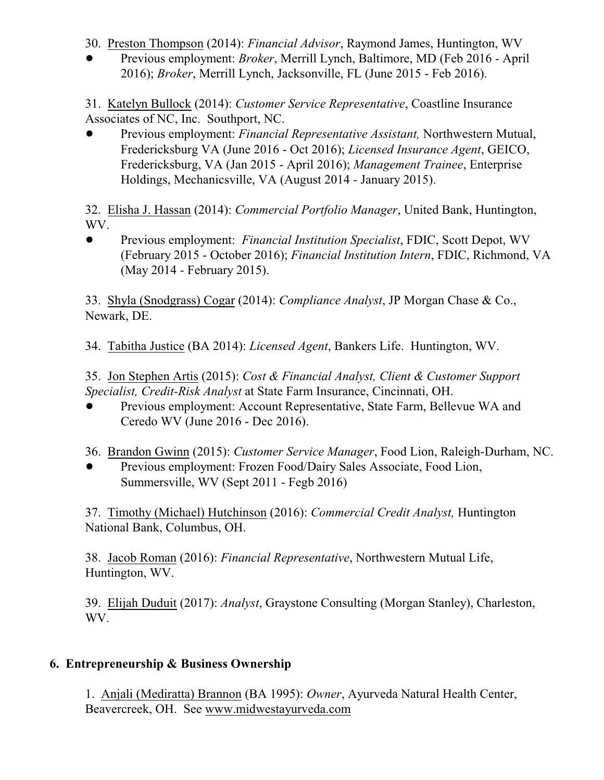30. Preston Thompson (2014): *Financial Advisor*, Raymond James, Huntington, WV

! Previous employment: *Broker*, Merrill Lynch, Baltimore, MD (Feb 2016 - April 2016); *Broker*, Merrill Lynch, Jacksonville, FL (June 2015 - Feb 2016).

31. Katelyn Bullock (2014): *Customer Service Representative*, Coastline Insurance Associates of NC, Inc. Southport, NC.

! Previous employment: *Financial Representative Assistant,* Northwestern Mutual, Fredericksburg VA (June 2016 - Oct 2016); *Licensed Insurance Agent*, GEICO, Fredericksburg, VA (Jan 2015 - April 2016); *Management Trainee*, Enterprise Holdings, Mechanicsville, VA (August 2014 - January 2015).

32. Elisha J. Hassan (2014): *Commercial Portfolio Manager*, United Bank, Huntington, WV.

! Previous employment: *Financial Institution Specialist*, FDIC, Scott Depot, WV (February 2015 - October 2016); *Financial Institution Intern*, FDIC, Richmond, VA (May 2014 - February 2015).

33. Shyla (Snodgrass) Cogar (2014): *Compliance Analyst*, JP Morgan Chase & Co., Newark, DE.

34. Tabitha Justice (BA 2014): *Licensed Agent*, Bankers Life. Huntington, WV.

35. Jon Stephen Artis (2015): *Cost & Financial Analyst, Client & Customer Support Specialist, Credit-Risk Analyst* at State Farm Insurance, Cincinnati, OH.

Previous employment: Account Representative, State Farm, Bellevue WA and Ceredo WV (June 2016 - Dec 2016).

36. Brandon Gwinn (2015): *Customer Service Manager*, Food Lion, Raleigh-Durham, NC.

Previous employment: Frozen Food/Dairy Sales Associate, Food Lion, Summersville, WV (Sept 2011 - Fegb 2016)

37. Timothy (Michael) Hutchinson (2016): *Commercial Credit Analyst,* Huntington National Bank, Columbus, OH.

38. Jacob Roman (2016): *Financial Representative*, Northwestern Mutual Life, Huntington, WV.

39. Elijah Duduit (2017): *Analyst*, Graystone Consulting (Morgan Stanley), Charleston, WV.

# **6. Entrepreneurship & Business Ownership**

1. Anjali (Mediratta) Brannon (BA 1995): *Owner*, Ayurveda Natural Health Center, Beavercreek, OH. See [www.midwestayurveda.com](http://www.midwestayurveda.com))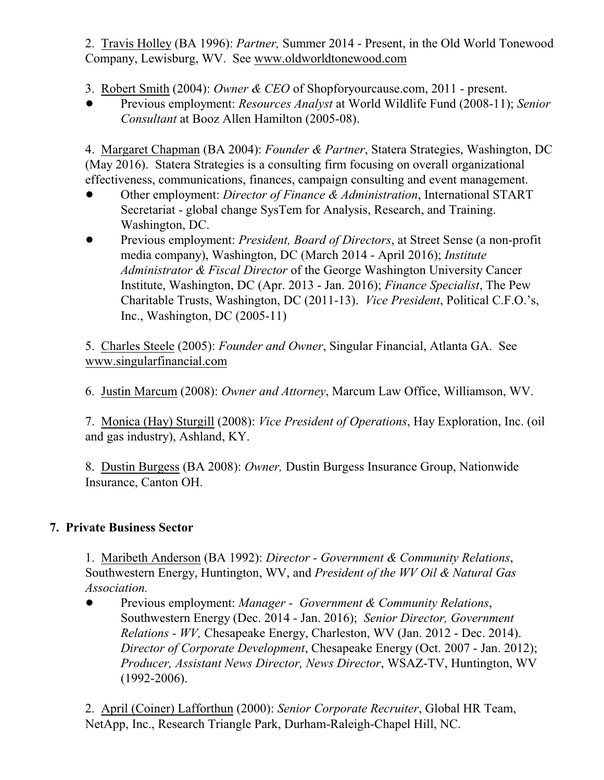2. Travis Holley (BA 1996): *Partner,* Summer 2014 - Present, in the Old World Tonewood Company, Lewisburg, WV. See [www.oldworldtonewood.com](http://www.oldworldtonewood.com.)

3. Robert Smith (2004): *Owner & CEO* of Shopforyourcause.com, 2011 - present.

! Previous employment: *Resources Analyst* at World Wildlife Fund (2008-11); *Senior Consultant* at Booz Allen Hamilton (2005-08).

4. Margaret Chapman (BA 2004): *Founder & Partner*, Statera Strategies, Washington, DC (May 2016). Statera Strategies is a consulting firm focusing on overall organizational effectiveness, communications, finances, campaign consulting and event management.

- ! Other employment: *Director of Finance & Administration*, International START Secretariat - global change SysTem for Analysis, Research, and Training. Washington, DC.
- ! Previous employment: *President, Board of Directors*, at Street Sense (a non-profit media company), Washington, DC (March 2014 - April 2016); *Institute Administrator & Fiscal Director* of the George Washington University Cancer Institute, Washington, DC (Apr. 2013 - Jan. 2016); *Finance Specialist*, The Pew Charitable Trusts, Washington, DC (2011-13). *Vice President*, Political C.F.O.'s, Inc., Washington, DC (2005-11)

5. Charles Steele (2005): *Founder and Owner*, Singular Financial, Atlanta GA. See [www.singularfinancial.com](http://www.singularfinancial.com)

6. Justin Marcum (2008): *Owner and Attorney*, Marcum Law Office, Williamson, WV.

7. Monica (Hay) Sturgill (2008): *Vice President of Operations*, Hay Exploration, Inc. (oil and gas industry), Ashland, KY.

8. Dustin Burgess (BA 2008): *Owner,* Dustin Burgess Insurance Group, Nationwide Insurance, Canton OH.

## **7. Private Business Sector**

1. Maribeth Anderson (BA 1992): *Director - Government & Community Relations*, Southwestern Energy, Huntington, WV, and *President of the WV Oil & Natural Gas Association.*

! Previous employment: *Manager* - *Government & Community Relations*, Southwestern Energy (Dec. 2014 - Jan. 2016); *Senior Director, Government Relations - WV,* Chesapeake Energy, Charleston, WV (Jan. 2012 - Dec. 2014). *Director of Corporate Development*, Chesapeake Energy (Oct. 2007 - Jan. 2012); *Producer, Assistant News Director, News Director*, WSAZ-TV, Huntington, WV (1992-2006).

2. April (Coiner) Lafforthun (2000): *Senior Corporate Recruiter*, Global HR Team, NetApp, Inc., Research Triangle Park, Durham-Raleigh-Chapel Hill, NC.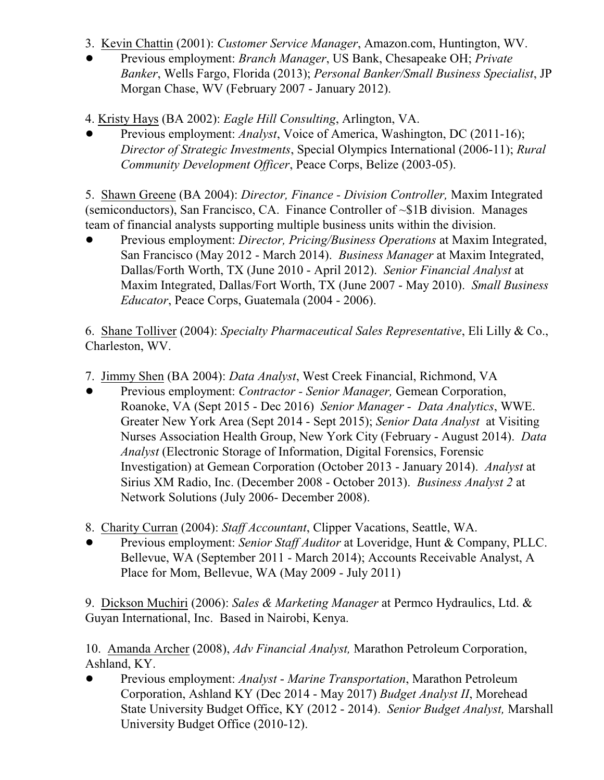- 3. Kevin Chattin (2001): *Customer Service Manager*, Amazon.com, Huntington, WV.
- ! Previous employment: *Branch Manager*, US Bank, Chesapeake OH; *Private Banker*, Wells Fargo, Florida (2013); *Personal Banker/Small Business Specialist*, JP Morgan Chase, WV (February 2007 - January 2012).
- 4. Kristy Hays (BA 2002): *Eagle Hill Consulting*, Arlington, VA.
- Previous employment: *Analyst*, Voice of America, Washington, DC (2011-16); *Director of Strategic Investments*, Special Olympics International (2006-11); *Rural Community Development Officer*, Peace Corps, Belize (2003-05).

5. Shawn Greene (BA 2004): *Director, Finance - Division Controller,* Maxim Integrated (semiconductors), San Francisco, CA. Finance Controller of ~\$1B division. Manages team of financial analysts supporting multiple business units within the division.

! Previous employment: *Director, Pricing/Business Operations* at Maxim Integrated, San Francisco (May 2012 - March 2014). *Business Manager* at Maxim Integrated, Dallas/Forth Worth, TX (June 2010 - April 2012). *Senior Financial Analyst* at Maxim Integrated, Dallas/Fort Worth, TX (June 2007 - May 2010). *Small Business Educator*, Peace Corps, Guatemala (2004 - 2006).

6. Shane Tolliver (2004): *Specialty Pharmaceutical Sales Representative*, Eli Lilly & Co., Charleston, WV.

- 7. Jimmy Shen (BA 2004): *Data Analyst*, West Creek Financial, Richmond, VA
- ! Previous employment: *Contractor Senior Manager,* Gemean Corporation, Roanoke, VA (Sept 2015 - Dec 2016) *Senior Manager - Data Analytics*, WWE. Greater New York Area (Sept 2014 - Sept 2015); *Senior Data Analyst* at Visiting Nurses Association Health Group, New York City (February - August 2014). *Data Analyst* (Electronic Storage of Information, Digital Forensics, Forensic Investigation) at Gemean Corporation (October 2013 - January 2014). *Analyst* at Sirius XM Radio, Inc. (December 2008 - October 2013). *Business Analyst 2* at Network Solutions (July 2006- December 2008).
- 8. Charity Curran (2004): *Staff Accountant*, Clipper Vacations, Seattle, WA.
- ! Previous employment: *Senior Staff Auditor* at Loveridge, Hunt & Company, PLLC. Bellevue, WA (September 2011 - March 2014); Accounts Receivable Analyst, A Place for Mom, Bellevue, WA (May 2009 - July 2011)

9. Dickson Muchiri (2006): *Sales & Marketing Manager* at Permco Hydraulics, Ltd. & Guyan International, Inc. Based in Nairobi, Kenya.

10. Amanda Archer (2008), *Adv Financial Analyst,* Marathon Petroleum Corporation, Ashland, KY.

! Previous employment: *Analyst* - *Marine Transportation*, Marathon Petroleum Corporation, Ashland KY (Dec 2014 - May 2017) *Budget Analyst II*, Morehead State University Budget Office, KY (2012 - 2014). *Senior Budget Analyst,* Marshall University Budget Office (2010-12).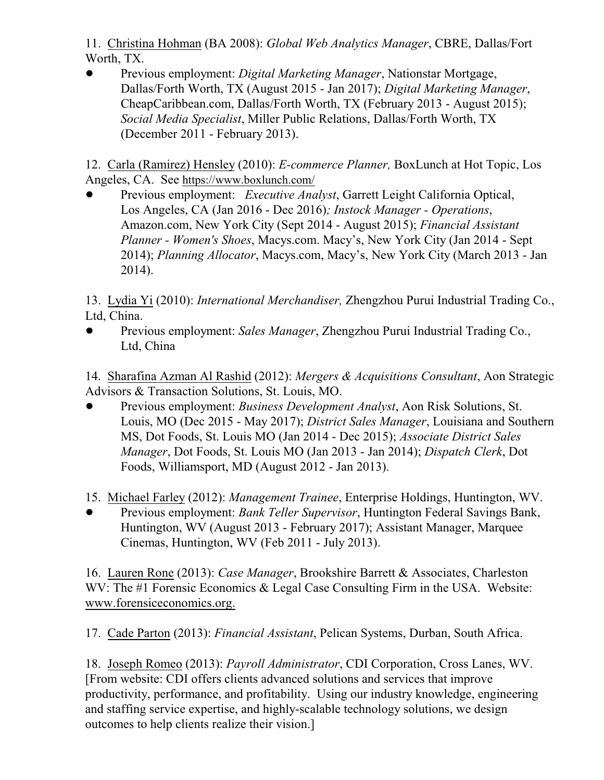11. Christina Hohman (BA 2008): *Global Web Analytics Manager*, CBRE, Dallas/Fort Worth, TX.

! Previous employment: *Digital Marketing Manager*, Nationstar Mortgage, Dallas/Forth Worth, TX (August 2015 - Jan 2017); *Digital Marketing Manager*, CheapCaribbean.com, Dallas/Forth Worth, TX (February 2013 - August 2015); *Social Media Specialist*, Miller Public Relations, Dallas/Forth Worth, TX (December 2011 - February 2013).

12. Carla (Ramirez) Hensley (2010): *E-commerce Planner,* BoxLunch at Hot Topic, Los Angeles, CA. See <https://www.boxlunch.com/>

! Previous employment: *Executive Analyst*, Garrett Leight California Optical, Los Angeles, CA (Jan 2016 - Dec 2016)*; Instock Manager - Operations*, Amazon.com, New York City (Sept 2014 - August 2015); *Financial Assistant Planner - Women's Shoes*, Macys.com. Macy's, New York City (Jan 2014 - Sept 2014); *Planning Allocator*, Macys.com, Macy's, New York City (March 2013 - Jan 2014).

13. Lydia Yi (2010): *International Merchandiser,* Zhengzhou Purui Industrial Trading Co., Ltd, China.

! Previous employment: *Sales Manager*, Zhengzhou Purui Industrial Trading Co., Ltd, China

14. Sharafina Azman Al Rashid (2012): *Mergers & Acquisitions Consultant*, Aon Strategic Advisors & Transaction Solutions, St. Louis, MO.

! Previous employment: *Business Development Analyst*, Aon Risk Solutions, St. Louis, MO (Dec 2015 - May 2017); *District Sales Manager*, Louisiana and Southern MS, Dot Foods, St. Louis MO (Jan 2014 - Dec 2015); *Associate District Sales Manager*, Dot Foods, St. Louis MO (Jan 2013 - Jan 2014); *Dispatch Clerk*, Dot Foods, Williamsport, MD (August 2012 - Jan 2013).

15. Michael Farley (2012): *Management Trainee*, Enterprise Holdings, Huntington, WV.

! Previous employment: *Bank Teller Supervisor*, Huntington Federal Savings Bank, Huntington, WV (August 2013 - February 2017); Assistant Manager, Marquee Cinemas, Huntington, WV (Feb 2011 - July 2013).

16. Lauren Rone (2013): *Case Manager*, Brookshire Barrett & Associates, Charleston WV: The #1 Forensic Economics & Legal Case Consulting Firm in the USA. Website: [www.forensiceconomics.org.](http://www.forensiceconomics.org.)

17. Cade Parton (2013): *Financial Assistant*, Pelican Systems, Durban, South Africa.

18. Joseph Romeo (2013): *Payroll Administrator*, CDI Corporation, Cross Lanes, WV. [From website: CDI offers clients advanced solutions and services that improve productivity, performance, and profitability. Using our industry knowledge, engineering and staffing service expertise, and highly-scalable technology solutions, we design outcomes to help clients realize their vision.]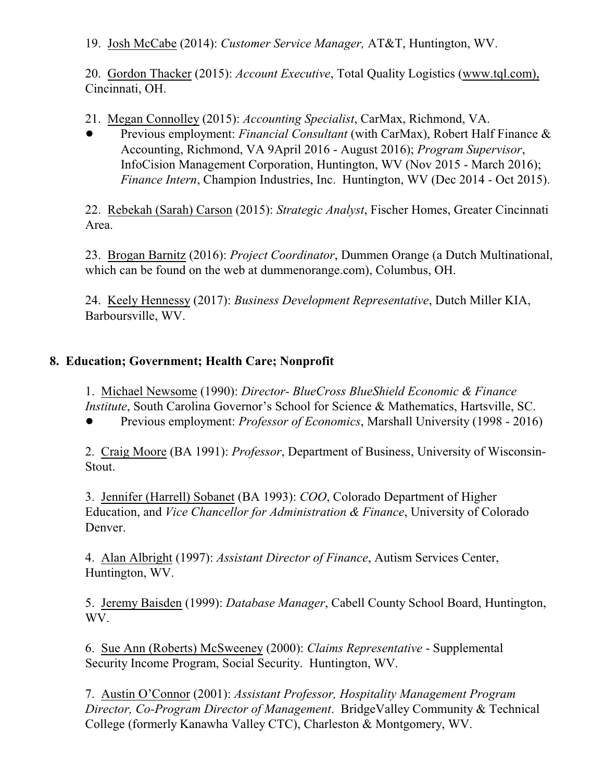19. Josh McCabe (2014): *Customer Service Manager,* AT&T, Huntington, WV.

20. Gordon Thacker (2015): *Account Executive*, Total Quality Logistics [\(www.tql.com\),](http://www.tql.com),) Cincinnati, OH.

21. Megan Connolley (2015): *Accounting Specialist*, CarMax, Richmond, VA.

! Previous employment: *Financial Consultant* (with CarMax), Robert Half Finance & Accounting, Richmond, VA 9April 2016 - August 2016); *Program Supervisor*, InfoCision Management Corporation, Huntington, WV (Nov 2015 - March 2016); *Finance Intern*, Champion Industries, Inc. Huntington, WV (Dec 2014 - Oct 2015).

22. Rebekah (Sarah) Carson (2015): *Strategic Analyst*, Fischer Homes, Greater Cincinnati Area.

23. Brogan Barnitz (2016): *Project Coordinator*, Dummen Orange (a Dutch Multinational, which can be found on the web at dummenorange.com), Columbus, OH.

24. Keely Hennessy (2017): *Business Development Representative*, Dutch Miller KIA, Barboursville, WV.

#### **8. Education; Government; Health Care; Nonprofit**

1. Michael Newsome (1990): *Director- BlueCross BlueShield Economic & Finance Institute*, South Carolina Governor's School for Science & Mathematics, Hartsville, SC.

! Previous employment: *Professor of Economics*, Marshall University (1998 - 2016)

2. Craig Moore (BA 1991): *Professor*, Department of Business, University of Wisconsin-Stout.

3. Jennifer (Harrell) Sobanet (BA 1993): *COO*, Colorado Department of Higher Education, and *Vice Chancellor for Administration & Finance*, University of Colorado Denver.

4. Alan Albright (1997): *Assistant Director of Finance*, Autism Services Center, Huntington, WV.

5. Jeremy Baisden (1999): *Database Manager*, Cabell County School Board, Huntington, WV.

6. Sue Ann (Roberts) McSweeney (2000): *Claims Representative* - Supplemental Security Income Program, Social Security. Huntington, WV.

7. Austin O'Connor (2001): *Assistant Professor, Hospitality Management Program Director, Co-Program Director of Management*. BridgeValley Community & Technical College (formerly Kanawha Valley CTC), Charleston & Montgomery, WV.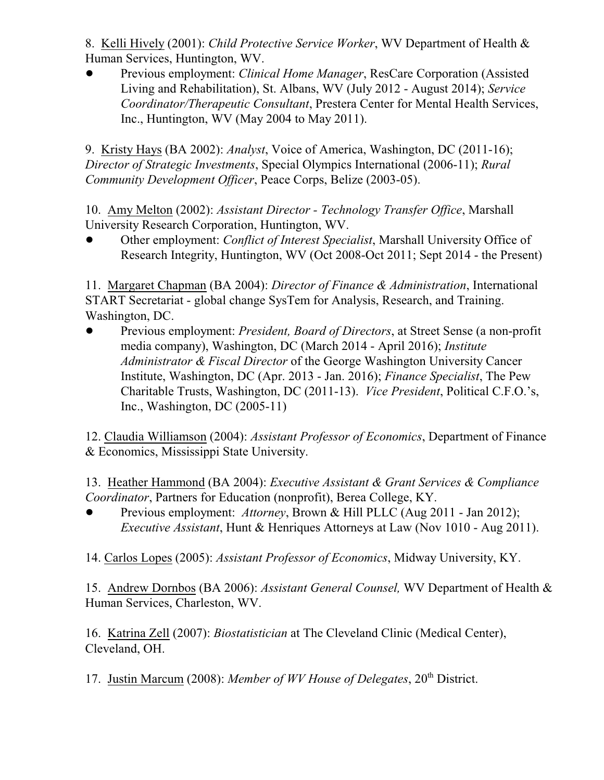8. Kelli Hively (2001): *Child Protective Service Worker*, WV Department of Health & Human Services, Huntington, WV.

! Previous employment: *Clinical Home Manager*, ResCare Corporation (Assisted Living and Rehabilitation), St. Albans, WV (July 2012 - August 2014); *Service Coordinator/Therapeutic Consultant*, Prestera Center for Mental Health Services, Inc., Huntington, WV (May 2004 to May 2011).

9. Kristy Hays (BA 2002): *Analyst*, Voice of America, Washington, DC (2011-16); *Director of Strategic Investments*, Special Olympics International (2006-11); *Rural Community Development Officer*, Peace Corps, Belize (2003-05).

10. Amy Melton (2002): *Assistant Director - Technology Transfer Office*, Marshall University Research Corporation, Huntington, WV.

! Other employment: *Conflict of Interest Specialist*, Marshall University Office of Research Integrity, Huntington, WV (Oct 2008-Oct 2011; Sept 2014 - the Present)

11. Margaret Chapman (BA 2004): *Director of Finance & Administration*, International START Secretariat - global change SysTem for Analysis, Research, and Training. Washington, DC.

! Previous employment: *President, Board of Directors*, at Street Sense (a non-profit media company), Washington, DC (March 2014 - April 2016); *Institute Administrator & Fiscal Director* of the George Washington University Cancer Institute, Washington, DC (Apr. 2013 - Jan. 2016); *Finance Specialist*, The Pew Charitable Trusts, Washington, DC (2011-13). *Vice President*, Political C.F.O.'s, Inc., Washington, DC (2005-11)

12. Claudia Williamson (2004): *Assistant Professor of Economics*, Department of Finance & Economics, Mississippi State University.

13. Heather Hammond (BA 2004): *Executive Assistant & Grant Services & Compliance Coordinator*, Partners for Education (nonprofit), Berea College, KY.

! Previous employment: *Attorney*, Brown & Hill PLLC (Aug 2011 - Jan 2012); *Executive Assistant*, Hunt & Henriques Attorneys at Law (Nov 1010 - Aug 2011).

14. Carlos Lopes (2005): *Assistant Professor of Economics*, Midway University, KY.

15. Andrew Dornbos (BA 2006): *Assistant General Counsel,* WV Department of Health & Human Services, Charleston, WV.

16. Katrina Zell (2007): *Biostatistician* at The Cleveland Clinic (Medical Center), Cleveland, OH.

17. Justin Marcum (2008): Member of WV House of Delegates, 20<sup>th</sup> District.